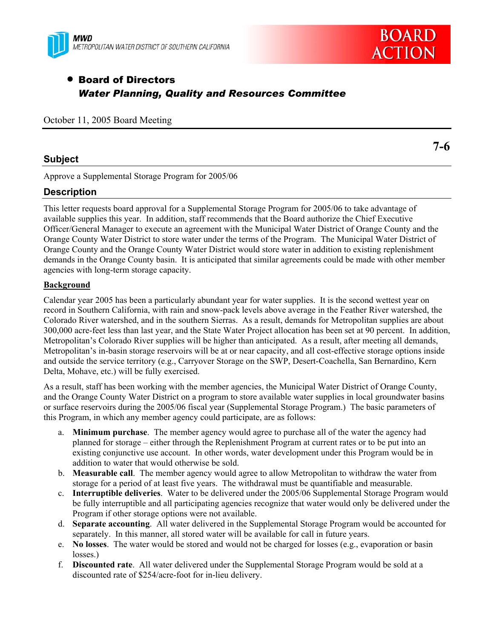



# • Board of Directors *Water Planning, Quality and Resources Committee*

October 11, 2005 Board Meeting

## **Subject**

Approve a Supplemental Storage Program for 2005/06

## **Description**

This letter requests board approval for a Supplemental Storage Program for 2005/06 to take advantage of available supplies this year. In addition, staff recommends that the Board authorize the Chief Executive Officer/General Manager to execute an agreement with the Municipal Water District of Orange County and the Orange County Water District to store water under the terms of the Program. The Municipal Water District of Orange County and the Orange County Water District would store water in addition to existing replenishment demands in the Orange County basin. It is anticipated that similar agreements could be made with other member agencies with long-term storage capacity.

#### **Background**

Calendar year 2005 has been a particularly abundant year for water supplies. It is the second wettest year on record in Southern California, with rain and snow-pack levels above average in the Feather River watershed, the Colorado River watershed, and in the southern Sierras. As a result, demands for Metropolitan supplies are about 300,000 acre-feet less than last year, and the State Water Project allocation has been set at 90 percent. In addition, Metropolitan's Colorado River supplies will be higher than anticipated. As a result, after meeting all demands, Metropolitan's in-basin storage reservoirs will be at or near capacity, and all cost-effective storage options inside and outside the service territory (e.g., Carryover Storage on the SWP, Desert-Coachella, San Bernardino, Kern Delta, Mohave, etc.) will be fully exercised.

As a result, staff has been working with the member agencies, the Municipal Water District of Orange County, and the Orange County Water District on a program to store available water supplies in local groundwater basins or surface reservoirs during the 2005/06 fiscal year (Supplemental Storage Program.) The basic parameters of this Program, in which any member agency could participate, are as follows:

- a. **Minimum purchase**. The member agency would agree to purchase all of the water the agency had planned for storage – either through the Replenishment Program at current rates or to be put into an existing conjunctive use account. In other words, water development under this Program would be in addition to water that would otherwise be sold.
- b. **Measurable call**. The member agency would agree to allow Metropolitan to withdraw the water from storage for a period of at least five years. The withdrawal must be quantifiable and measurable.
- c. **Interruptible deliveries**. Water to be delivered under the 2005/06 Supplemental Storage Program would be fully interruptible and all participating agencies recognize that water would only be delivered under the Program if other storage options were not available.
- d. **Separate accounting**. All water delivered in the Supplemental Storage Program would be accounted for separately. In this manner, all stored water will be available for call in future years.
- e. **No losses**. The water would be stored and would not be charged for losses (e.g., evaporation or basin losses.)
- f. **Discounted rate**. All water delivered under the Supplemental Storage Program would be sold at a discounted rate of \$254/acre-foot for in-lieu delivery.

**7-6**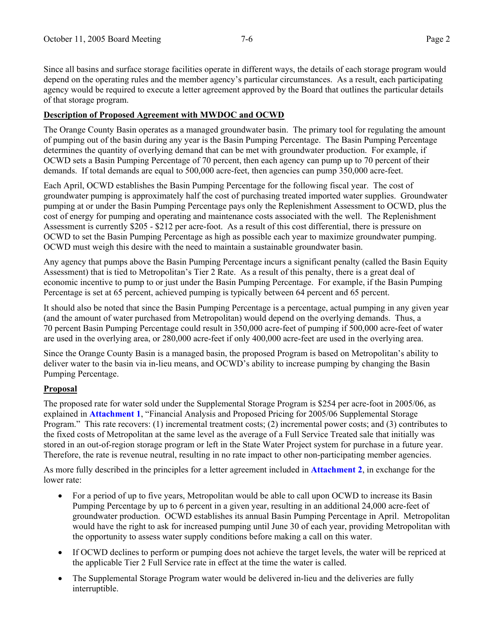Since all basins and surface storage facilities operate in different ways, the details of each storage program would depend on the operating rules and the member agency's particular circumstances. As a result, each participating agency would be required to execute a letter agreement approved by the Board that outlines the particular details of that storage program.

#### **Description of Proposed Agreement with MWDOC and OCWD**

The Orange County Basin operates as a managed groundwater basin. The primary tool for regulating the amount of pumping out of the basin during any year is the Basin Pumping Percentage. The Basin Pumping Percentage determines the quantity of overlying demand that can be met with groundwater production. For example, if OCWD sets a Basin Pumping Percentage of 70 percent, then each agency can pump up to 70 percent of their demands. If total demands are equal to 500,000 acre-feet, then agencies can pump 350,000 acre-feet.

Each April, OCWD establishes the Basin Pumping Percentage for the following fiscal year. The cost of groundwater pumping is approximately half the cost of purchasing treated imported water supplies. Groundwater pumping at or under the Basin Pumping Percentage pays only the Replenishment Assessment to OCWD, plus the cost of energy for pumping and operating and maintenance costs associated with the well. The Replenishment Assessment is currently \$205 - \$212 per acre-foot. As a result of this cost differential, there is pressure on OCWD to set the Basin Pumping Percentage as high as possible each year to maximize groundwater pumping. OCWD must weigh this desire with the need to maintain a sustainable groundwater basin.

Any agency that pumps above the Basin Pumping Percentage incurs a significant penalty (called the Basin Equity Assessment) that is tied to Metropolitan's Tier 2 Rate. As a result of this penalty, there is a great deal of economic incentive to pump to or just under the Basin Pumping Percentage. For example, if the Basin Pumping Percentage is set at 65 percent, achieved pumping is typically between 64 percent and 65 percent.

It should also be noted that since the Basin Pumping Percentage is a percentage, actual pumping in any given year (and the amount of water purchased from Metropolitan) would depend on the overlying demands. Thus, a 70 percent Basin Pumping Percentage could result in 350,000 acre-feet of pumping if 500,000 acre-feet of water are used in the overlying area, or 280,000 acre-feet if only 400,000 acre-feet are used in the overlying area.

Since the Orange County Basin is a managed basin, the proposed Program is based on Metropolitan's ability to deliver water to the basin via in-lieu means, and OCWD's ability to increase pumping by changing the Basin Pumping Percentage.

#### **Proposal**

The proposed rate for water sold under the Supplemental Storage Program is \$254 per acre-foot in 2005/06, as explained in **Attachment 1**, "Financial Analysis and Proposed Pricing for 2005/06 Supplemental Storage Program." This rate recovers: (1) incremental treatment costs; (2) incremental power costs; and (3) contributes to the fixed costs of Metropolitan at the same level as the average of a Full Service Treated sale that initially was stored in an out-of-region storage program or left in the State Water Project system for purchase in a future year. Therefore, the rate is revenue neutral, resulting in no rate impact to other non-participating member agencies.

As more fully described in the principles for a letter agreement included in **Attachment 2**, in exchange for the lower rate:

- For a period of up to five years, Metropolitan would be able to call upon OCWD to increase its Basin Pumping Percentage by up to 6 percent in a given year, resulting in an additional 24,000 acre-feet of groundwater production. OCWD establishes its annual Basin Pumping Percentage in April. Metropolitan would have the right to ask for increased pumping until June 30 of each year, providing Metropolitan with the opportunity to assess water supply conditions before making a call on this water.
- If OCWD declines to perform or pumping does not achieve the target levels, the water will be repriced at the applicable Tier 2 Full Service rate in effect at the time the water is called.
- The Supplemental Storage Program water would be delivered in-lieu and the deliveries are fully interruptible.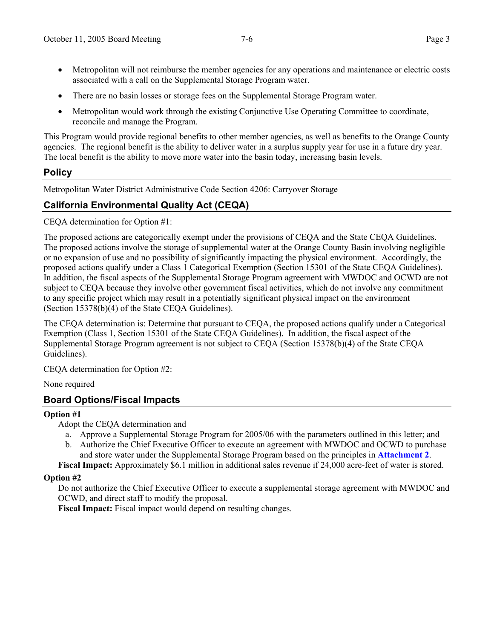- Metropolitan will not reimburse the member agencies for any operations and maintenance or electric costs associated with a call on the Supplemental Storage Program water.
- There are no basin losses or storage fees on the Supplemental Storage Program water.
- Metropolitan would work through the existing Conjunctive Use Operating Committee to coordinate, reconcile and manage the Program.

This Program would provide regional benefits to other member agencies, as well as benefits to the Orange County agencies. The regional benefit is the ability to deliver water in a surplus supply year for use in a future dry year. The local benefit is the ability to move more water into the basin today, increasing basin levels.

## **Policy**

Metropolitan Water District Administrative Code Section 4206: Carryover Storage

# **California Environmental Quality Act (CEQA)**

CEQA determination for Option #1:

The proposed actions are categorically exempt under the provisions of CEQA and the State CEQA Guidelines. The proposed actions involve the storage of supplemental water at the Orange County Basin involving negligible or no expansion of use and no possibility of significantly impacting the physical environment. Accordingly, the proposed actions qualify under a Class 1 Categorical Exemption (Section 15301 of the State CEQA Guidelines). In addition, the fiscal aspects of the Supplemental Storage Program agreement with MWDOC and OCWD are not subject to CEQA because they involve other government fiscal activities, which do not involve any commitment to any specific project which may result in a potentially significant physical impact on the environment (Section 15378(b)(4) of the State CEQA Guidelines).

The CEQA determination is: Determine that pursuant to CEQA, the proposed actions qualify under a Categorical Exemption (Class 1, Section 15301 of the State CEQA Guidelines). In addition, the fiscal aspect of the Supplemental Storage Program agreement is not subject to CEQA (Section 15378(b)(4) of the State CEQA Guidelines).

CEQA determination for Option #2:

None required

# **Board Options/Fiscal Impacts**

#### **Option #1**

Adopt the CEQA determination and

- a. Approve a Supplemental Storage Program for 2005/06 with the parameters outlined in this letter; and
- b. Authorize the Chief Executive Officer to execute an agreement with MWDOC and OCWD to purchase and store water under the Supplemental Storage Program based on the principles in **Attachment 2**.
- **Fiscal Impact:** Approximately \$6.1 million in additional sales revenue if 24,000 acre-feet of water is stored.

#### **Option #2**

Do not authorize the Chief Executive Officer to execute a supplemental storage agreement with MWDOC and OCWD, and direct staff to modify the proposal.

**Fiscal Impact:** Fiscal impact would depend on resulting changes.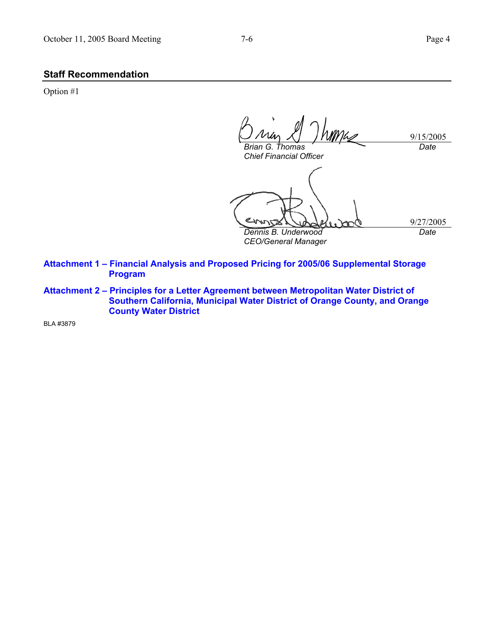#### **Staff Recommendation**

Option #1

WMLZ 9/15/2005 *Date Brian G. Thomas* 

*Chief Financial Officer* 

9/27/2005 *Date* 

*Dennis B. Underwood CEO/General Manager* 

**Attachment 1 – Financial Analysis and Proposed Pricing for 2005/06 Supplemental Storage Program** 

**Attachment 2 – Principles for a Letter Agreement between Metropolitan Water District of Southern California, Municipal Water District of Orange County, and Orange County Water District** 

BLA #3879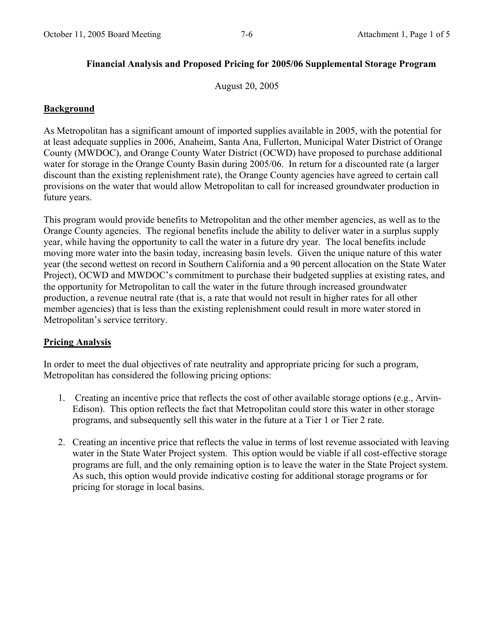## **Financial Analysis and Proposed Pricing for 2005/06 Supplemental Storage Program**

August 20, 2005

## **Background**

As Metropolitan has a significant amount of imported supplies available in 2005, with the potential for at least adequate supplies in 2006, Anaheim, Santa Ana, Fullerton, Municipal Water District of Orange County (MWDOC), and Orange County Water District (OCWD) have proposed to purchase additional water for storage in the Orange County Basin during 2005/06. In return for a discounted rate (a larger discount than the existing replenishment rate), the Orange County agencies have agreed to certain call provisions on the water that would allow Metropolitan to call for increased groundwater production in future years.

This program would provide benefits to Metropolitan and the other member agencies, as well as to the Orange County agencies. The regional benefits include the ability to deliver water in a surplus supply year, while having the opportunity to call the water in a future dry year. The local benefits include moving more water into the basin today, increasing basin levels. Given the unique nature of this water year (the second wettest on record in Southern California and a 90 percent allocation on the State Water Project), OCWD and MWDOC's commitment to purchase their budgeted supplies at existing rates, and the opportunity for Metropolitan to call the water in the future through increased groundwater production, a revenue neutral rate (that is, a rate that would not result in higher rates for all other member agencies) that is less than the existing replenishment could result in more water stored in Metropolitan's service territory.

#### **Pricing Analysis**

In order to meet the dual objectives of rate neutrality and appropriate pricing for such a program, Metropolitan has considered the following pricing options:

- 1. Creating an incentive price that reflects the cost of other available storage options (e.g., Arvin-Edison). This option reflects the fact that Metropolitan could store this water in other storage programs, and subsequently sell this water in the future at a Tier 1 or Tier 2 rate.
- 2. Creating an incentive price that reflects the value in terms of lost revenue associated with leaving water in the State Water Project system. This option would be viable if all cost-effective storage programs are full, and the only remaining option is to leave the water in the State Project system. As such, this option would provide indicative costing for additional storage programs or for pricing for storage in local basins.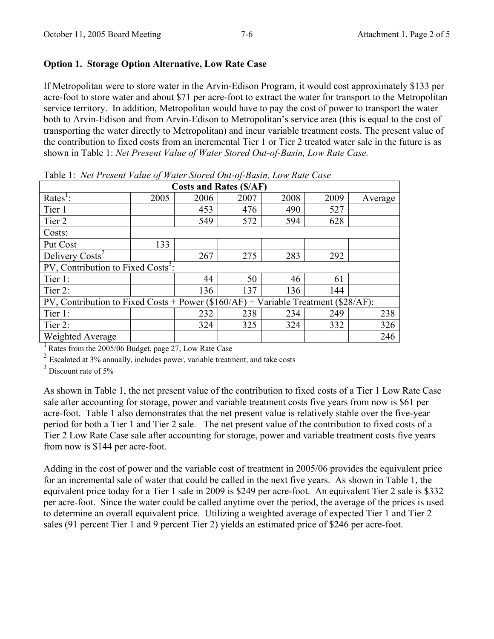## **Option 1. Storage Option Alternative, Low Rate Case**

If Metropolitan were to store water in the Arvin-Edison Program, it would cost approximately \$133 per acre-foot to store water and about \$71 per acre-foot to extract the water for transport to the Metropolitan service territory. In addition, Metropolitan would have to pay the cost of power to transport the water both to Arvin-Edison and from Arvin-Edison to Metropolitan's service area (this is equal to the cost of transporting the water directly to Metropolitan) and incur variable treatment costs. The present value of the contribution to fixed costs from an incremental Tier 1 or Tier 2 treated water sale in the future is as shown in Table 1: *Net Present Value of Water Stored Out-of-Basin, Low Rate Case.*

| <b>Costs and Rates (\$/AF)</b>                                                           |      |      |      |      |      |         |  |
|------------------------------------------------------------------------------------------|------|------|------|------|------|---------|--|
| Rates <sup>1</sup> :                                                                     | 2005 | 2006 | 2007 | 2008 | 2009 | Average |  |
| Tier 1                                                                                   |      | 453  | 476  | 490  | 527  |         |  |
| Tier 2                                                                                   |      | 549  | 572  | 594  | 628  |         |  |
| Costs:                                                                                   |      |      |      |      |      |         |  |
| Put Cost                                                                                 | 133  |      |      |      |      |         |  |
| Delivery Costs <sup>2</sup>                                                              |      | 267  | 275  | 283  | 292  |         |  |
| PV, Contribution to Fixed Costs <sup>3</sup> :                                           |      |      |      |      |      |         |  |
| Tier 1:                                                                                  |      | 44   | 50   | 46   | 61   |         |  |
| Tier 2:                                                                                  |      | 136  | 137  | 136  | 144  |         |  |
| PV, Contribution to Fixed Costs + Power ( $$160/AF$ ) + Variable Treatment ( $$28/AF$ ): |      |      |      |      |      |         |  |
| Tier 1:                                                                                  |      | 232  | 238  | 234  | 249  | 238     |  |
| Tier 2:                                                                                  |      | 324  | 325  | 324  | 332  | 326     |  |
| Weighted Average                                                                         |      |      |      |      |      | 246     |  |

Table 1: *Net Present Value of Water Stored Out-of-Basin, Low Rate Case* 

1 Rates from the 2005/06 Budget, page 27, Low Rate Case

<sup>2</sup> Escalated at 3% annually, includes power, variable treatment, and take costs

<sup>3</sup> Discount rate of 5%

As shown in Table 1, the net present value of the contribution to fixed costs of a Tier 1 Low Rate Case sale after accounting for storage, power and variable treatment costs five years from now is \$61 per acre-foot. Table 1 also demonstrates that the net present value is relatively stable over the five-year period for both a Tier 1 and Tier 2 sale. The net present value of the contribution to fixed costs of a Tier 2 Low Rate Case sale after accounting for storage, power and variable treatment costs five years from now is \$144 per acre-foot.

Adding in the cost of power and the variable cost of treatment in 2005/06 provides the equivalent price for an incremental sale of water that could be called in the next five years. As shown in Table 1, the equivalent price today for a Tier 1 sale in 2009 is \$249 per acre-foot. An equivalent Tier 2 sale is \$332 per acre-foot. Since the water could be called anytime over the period, the average of the prices is used to determine an overall equivalent price. Utilizing a weighted average of expected Tier 1 and Tier 2 sales (91 percent Tier 1 and 9 percent Tier 2) yields an estimated price of \$246 per acre-foot.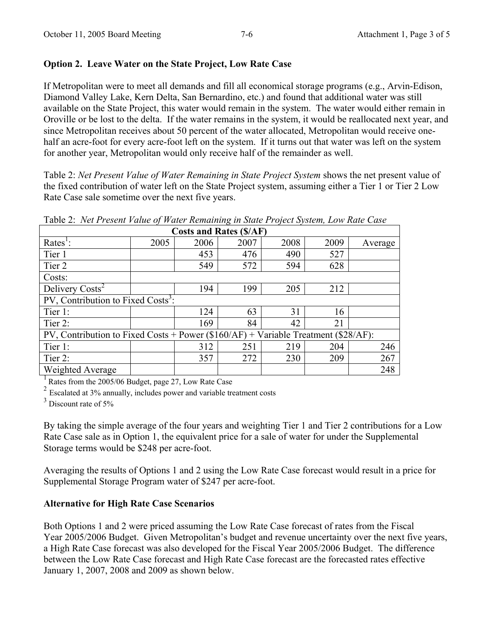## **Option 2. Leave Water on the State Project, Low Rate Case**

If Metropolitan were to meet all demands and fill all economical storage programs (e.g., Arvin-Edison, Diamond Valley Lake, Kern Delta, San Bernardino, etc.) and found that additional water was still available on the State Project, this water would remain in the system. The water would either remain in Oroville or be lost to the delta. If the water remains in the system, it would be reallocated next year, and since Metropolitan receives about 50 percent of the water allocated, Metropolitan would receive onehalf an acre-foot for every acre-foot left on the system. If it turns out that water was left on the system for another year, Metropolitan would only receive half of the remainder as well.

Table 2: *Net Present Value of Water Remaining in State Project System* shows the net present value of the fixed contribution of water left on the State Project system, assuming either a Tier 1 or Tier 2 Low Rate Case sale sometime over the next five years.

| <b>Costs and Rates (\$/AF)</b>                                                          |      |      |      |      |      |         |  |
|-----------------------------------------------------------------------------------------|------|------|------|------|------|---------|--|
| Rates <sup>1</sup> :                                                                    | 2005 | 2006 | 2007 | 2008 | 2009 | Average |  |
| Tier 1                                                                                  |      | 453  | 476  | 490  | 527  |         |  |
| Tier 2                                                                                  |      | 549  | 572  | 594  | 628  |         |  |
| Costs:                                                                                  |      |      |      |      |      |         |  |
| Delivery Costs <sup>2</sup>                                                             |      | 194  | 199  | 205  | 212  |         |  |
| PV, Contribution to Fixed Costs <sup>3</sup> :                                          |      |      |      |      |      |         |  |
| Tier 1:                                                                                 |      | 124  | 63   | 31   | 16   |         |  |
| Tier 2:                                                                                 |      | 169  | 84   | 42   | 21   |         |  |
| PV, Contribution to Fixed Costs + Power $(\$160/AF)$ + Variable Treatment $(\$28/AF)$ : |      |      |      |      |      |         |  |
| Tier 1:                                                                                 |      | 312  | 251  | 219  | 204  | 246     |  |
| Tier 2:                                                                                 |      | 357  | 272  | 230  | 209  | 267     |  |
| Weighted Average                                                                        |      |      |      |      |      | 248     |  |

Table 2: *Net Present Value of Water Remaining in State Project System, Low Rate Case* 

<sup>1</sup> Rates from the 2005/06 Budget, page 27, Low Rate Case

<sup>2</sup> Escalated at 3% annually, includes power and variable treatment costs

 $3$  Discount rate of 5%

By taking the simple average of the four years and weighting Tier 1 and Tier 2 contributions for a Low Rate Case sale as in Option 1, the equivalent price for a sale of water for under the Supplemental Storage terms would be \$248 per acre-foot.

Averaging the results of Options 1 and 2 using the Low Rate Case forecast would result in a price for Supplemental Storage Program water of \$247 per acre-foot.

#### **Alternative for High Rate Case Scenarios**

Both Options 1 and 2 were priced assuming the Low Rate Case forecast of rates from the Fiscal Year 2005/2006 Budget. Given Metropolitan's budget and revenue uncertainty over the next five years, a High Rate Case forecast was also developed for the Fiscal Year 2005/2006 Budget. The difference between the Low Rate Case forecast and High Rate Case forecast are the forecasted rates effective January 1, 2007, 2008 and 2009 as shown below.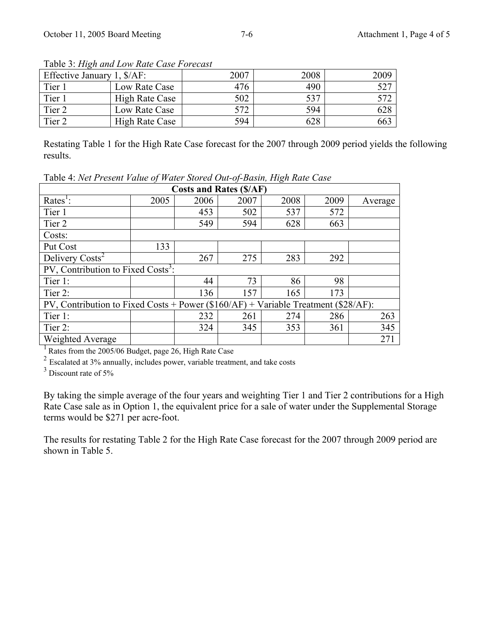| Effective January 1, $\frac{S}{AF}$ : |                | 2007 | 2008 | 2009 |
|---------------------------------------|----------------|------|------|------|
| Tier 1                                | Low Rate Case  | 476  | 490  | 527  |
| Tier 1                                | High Rate Case | 502  | 537  | 577  |
| Tier 2                                | Low Rate Case  | 572  | 594  | 628  |
| Tier <sub>2</sub>                     | High Rate Case | 594  | 628  | 663  |

Table 3: *High and Low Rate Case Forecast*

Restating Table 1 for the High Rate Case forecast for the 2007 through 2009 period yields the following results.

**Costs and Rates (\$/AF)**  $Rates^1$ : : 2005 | 2006 | 2007 | 2008 | 2009 | Average Tier 1 453 502 537 572 Tier 2  $|$  549  $|$  594  $|$  628 663 Costs: Put Cost 133 Delivery Costs<sup>2</sup>  $\begin{array}{|c|c|c|c|c|c|c|c|c|} \hline \quad & 267 & 275 & 283 & 292 \hline \end{array}$ PV, Contribution to Fixed Costs<sup>3</sup>: Tier 1:  $\begin{vmatrix} 44 & 73 & 86 & 98 \end{vmatrix}$ Tier 2:  $|$  136 157 165 173 PV, Contribution to Fixed Costs + Power (\$160/AF) + Variable Treatment (\$28/AF): Tier 1: 232 261 274 286 263 Tier 2:  $|$  324  $|$  345  $|$  353  $|$  361  $|$  345 Weighted Average 271

Table 4: *Net Present Value of Water Stored Out-of-Basin, High Rate Case* 

 $<sup>1</sup>$  Rates from the 2005/06 Budget, page 26, High Rate Case</sup>

<sup>2</sup> Escalated at 3% annually, includes power, variable treatment, and take costs

<sup>3</sup> Discount rate of 5%

By taking the simple average of the four years and weighting Tier 1 and Tier 2 contributions for a High Rate Case sale as in Option 1, the equivalent price for a sale of water under the Supplemental Storage terms would be \$271 per acre-foot.

The results for restating Table 2 for the High Rate Case forecast for the 2007 through 2009 period are shown in Table 5.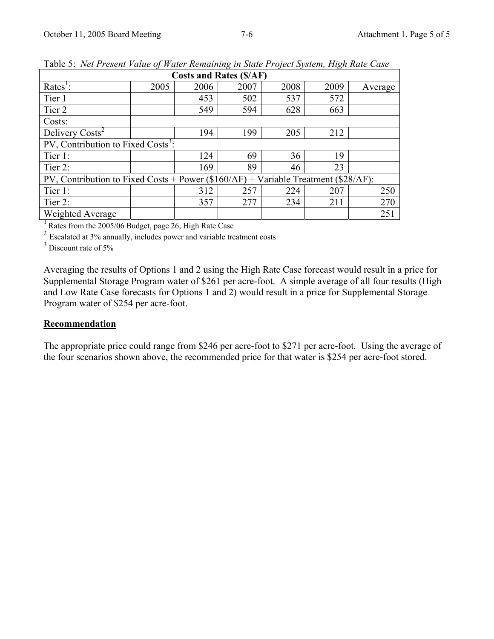| <b>Costs and Rates (\$/AF)</b>                                                          |      |      |      |      |      |         |  |
|-----------------------------------------------------------------------------------------|------|------|------|------|------|---------|--|
| Rates <sup>1</sup> :                                                                    | 2005 | 2006 | 2007 | 2008 | 2009 | Average |  |
| Tier 1                                                                                  |      | 453  | 502  | 537  | 572  |         |  |
| Tier 2                                                                                  |      | 549  | 594  | 628  | 663  |         |  |
| Costs:                                                                                  |      |      |      |      |      |         |  |
| Delivery Costs <sup>2</sup>                                                             |      | 194  | 199  | 205  | 212  |         |  |
| PV, Contribution to Fixed Costs <sup>3</sup> :                                          |      |      |      |      |      |         |  |
| Tier 1:                                                                                 |      | 124  | 69   | 36   | 19   |         |  |
| Tier 2:                                                                                 |      | 169  | 89   | 46   | 23   |         |  |
| PV, Contribution to Fixed Costs + Power $(\$160/AF)$ + Variable Treatment $(\$28/AF)$ : |      |      |      |      |      |         |  |
| Tier 1:                                                                                 |      | 312  | 257  | 224  | 207  | 250     |  |
| Tier 2:                                                                                 |      | 357  | 277  | 234  | 211  | 270     |  |
| Weighted Average                                                                        |      |      |      |      |      | 251     |  |

Table 5: *Net Present Value of Water Remaining in State Project System, High Rate Case* 

<sup>1</sup> Rates from the 2005/06 Budget, page 26, High Rate Case

 $2^{2}$  Escalated at 3% annually, includes power and variable treatment costs

<sup>3</sup> Discount rate of 5%

Averaging the results of Options 1 and 2 using the High Rate Case forecast would result in a price for Supplemental Storage Program water of \$261 per acre-foot. A simple average of all four results (High and Low Rate Case forecasts for Options 1 and 2) would result in a price for Supplemental Storage Program water of \$254 per acre-foot.

# **Recommendation**

The appropriate price could range from \$246 per acre-foot to \$271 per acre-foot. Using the average of the four scenarios shown above, the recommended price for that water is \$254 per acre-foot stored.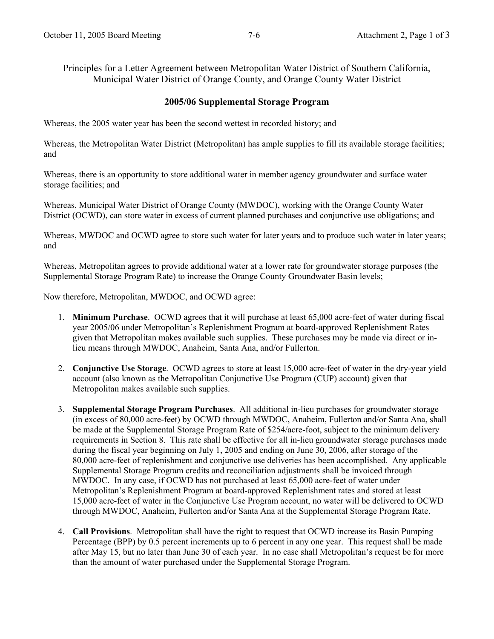Principles for a Letter Agreement between Metropolitan Water District of Southern California, Municipal Water District of Orange County, and Orange County Water District

## **2005/06 Supplemental Storage Program**

Whereas, the 2005 water year has been the second wettest in recorded history; and

Whereas, the Metropolitan Water District (Metropolitan) has ample supplies to fill its available storage facilities; and

Whereas, there is an opportunity to store additional water in member agency groundwater and surface water storage facilities; and

Whereas, Municipal Water District of Orange County (MWDOC), working with the Orange County Water District (OCWD), can store water in excess of current planned purchases and conjunctive use obligations; and

Whereas, MWDOC and OCWD agree to store such water for later years and to produce such water in later years; and

Whereas, Metropolitan agrees to provide additional water at a lower rate for groundwater storage purposes (the Supplemental Storage Program Rate) to increase the Orange County Groundwater Basin levels;

Now therefore, Metropolitan, MWDOC, and OCWD agree:

- 1. **Minimum Purchase**. OCWD agrees that it will purchase at least 65,000 acre-feet of water during fiscal year 2005/06 under Metropolitan's Replenishment Program at board-approved Replenishment Rates given that Metropolitan makes available such supplies. These purchases may be made via direct or inlieu means through MWDOC, Anaheim, Santa Ana, and/or Fullerton.
- 2. **Conjunctive Use Storage**. OCWD agrees to store at least 15,000 acre-feet of water in the dry-year yield account (also known as the Metropolitan Conjunctive Use Program (CUP) account) given that Metropolitan makes available such supplies.
- 3. **Supplemental Storage Program Purchases**. All additional in-lieu purchases for groundwater storage (in excess of 80,000 acre-feet) by OCWD through MWDOC, Anaheim, Fullerton and/or Santa Ana, shall be made at the Supplemental Storage Program Rate of \$254/acre-foot, subject to the minimum delivery requirements in Section 8. This rate shall be effective for all in-lieu groundwater storage purchases made during the fiscal year beginning on July 1, 2005 and ending on June 30, 2006, after storage of the 80,000 acre-feet of replenishment and conjunctive use deliveries has been accomplished. Any applicable Supplemental Storage Program credits and reconciliation adjustments shall be invoiced through MWDOC. In any case, if OCWD has not purchased at least 65,000 acre-feet of water under Metropolitan's Replenishment Program at board-approved Replenishment rates and stored at least 15,000 acre-feet of water in the Conjunctive Use Program account, no water will be delivered to OCWD through MWDOC, Anaheim, Fullerton and/or Santa Ana at the Supplemental Storage Program Rate.
- 4. **Call Provisions**. Metropolitan shall have the right to request that OCWD increase its Basin Pumping Percentage (BPP) by 0.5 percent increments up to 6 percent in any one year. This request shall be made after May 15, but no later than June 30 of each year. In no case shall Metropolitan's request be for more than the amount of water purchased under the Supplemental Storage Program.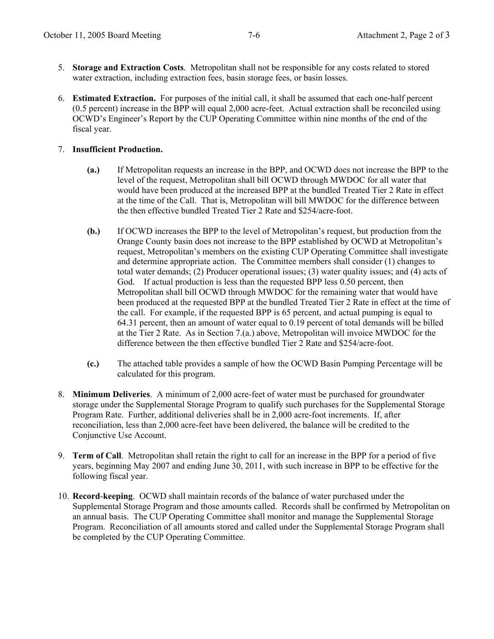- 5. **Storage and Extraction Costs**. Metropolitan shall not be responsible for any costs related to stored water extraction, including extraction fees, basin storage fees, or basin losses.
- 6. **Estimated Extraction.** For purposes of the initial call, it shall be assumed that each one-half percent (0.5 percent) increase in the BPP will equal 2,000 acre-feet. Actual extraction shall be reconciled using OCWD's Engineer's Report by the CUP Operating Committee within nine months of the end of the fiscal year.

#### 7. **Insufficient Production.**

- **(a.)** If Metropolitan requests an increase in the BPP, and OCWD does not increase the BPP to the level of the request, Metropolitan shall bill OCWD through MWDOC for all water that would have been produced at the increased BPP at the bundled Treated Tier 2 Rate in effect at the time of the Call. That is, Metropolitan will bill MWDOC for the difference between the then effective bundled Treated Tier 2 Rate and \$254/acre-foot.
- **(b.)** If OCWD increases the BPP to the level of Metropolitan's request, but production from the Orange County basin does not increase to the BPP established by OCWD at Metropolitan's request, Metropolitan's members on the existing CUP Operating Committee shall investigate and determine appropriate action. The Committee members shall consider (1) changes to total water demands; (2) Producer operational issues; (3) water quality issues; and (4) acts of God. If actual production is less than the requested BPP less 0.50 percent, then Metropolitan shall bill OCWD through MWDOC for the remaining water that would have been produced at the requested BPP at the bundled Treated Tier 2 Rate in effect at the time of the call. For example, if the requested BPP is 65 percent, and actual pumping is equal to 64.31 percent, then an amount of water equal to 0.19 percent of total demands will be billed at the Tier 2 Rate. As in Section 7.(a.) above, Metropolitan will invoice MWDOC for the difference between the then effective bundled Tier 2 Rate and \$254/acre-foot.
- **(c.)** The attached table provides a sample of how the OCWD Basin Pumping Percentage will be calculated for this program.
- 8. **Minimum Deliveries**. A minimum of 2,000 acre-feet of water must be purchased for groundwater storage under the Supplemental Storage Program to qualify such purchases for the Supplemental Storage Program Rate. Further, additional deliveries shall be in 2,000 acre-foot increments. If, after reconciliation, less than 2,000 acre-feet have been delivered, the balance will be credited to the Conjunctive Use Account.
- 9. **Term of Call**. Metropolitan shall retain the right to call for an increase in the BPP for a period of five years, beginning May 2007 and ending June 30, 2011, with such increase in BPP to be effective for the following fiscal year.
- 10. **Record**-**keeping**. OCWD shall maintain records of the balance of water purchased under the Supplemental Storage Program and those amounts called. Records shall be confirmed by Metropolitan on an annual basis. The CUP Operating Committee shall monitor and manage the Supplemental Storage Program. Reconciliation of all amounts stored and called under the Supplemental Storage Program shall be completed by the CUP Operating Committee.